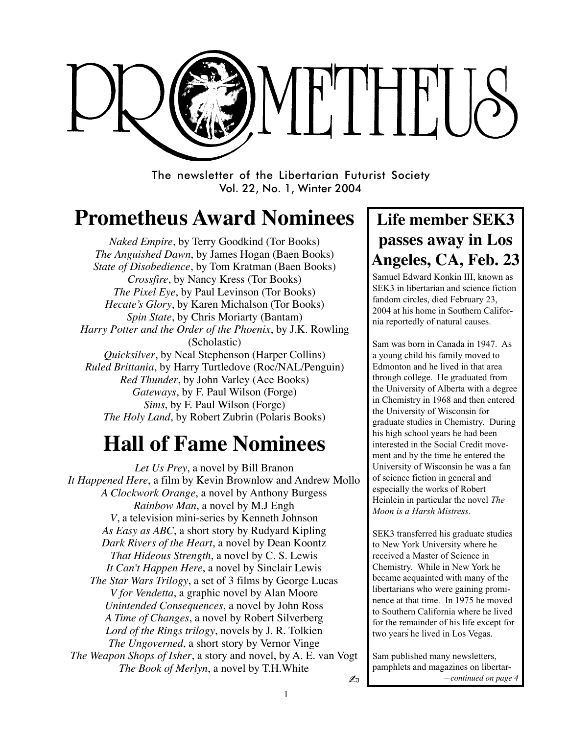

The newsletter of the Libertarian Futurist Society Vol. 22, No. 1, Winter 2004

# **Prometheus Award Nominees**

*Naked Empire*, by Terry Goodkind (Tor Books) *The Anguished Dawn*, by James Hogan (Baen Books) *State of Disobedience*, by Tom Kratman (Baen Books) *Crossfire*, by Nancy Kress (Tor Books) *The Pixel Eye*, by Paul Levinson (Tor Books) *Hecate's Glory*, by Karen Michalson (Tor Books) *Spin State*, by Chris Moriarty (Bantam) *Harry Potter and the Order of the Phoenix*, by J.K. Rowling (Scholastic) *Quicksilver*, by Neal Stephenson (Harper Collins) *Ruled Brittania*, by Harry Turtledove (Roc/NAL/Penguin) *Red Thunder*, by John Varley (Ace Books) *Gateways*, by F. Paul Wilson (Forge) *Sims*, by F. Paul Wilson (Forge) *The Holy Land*, by Robert Zubrin (Polaris Books)

# **Hall of Fame Nominees**

✍ *Let Us Prey*, a novel by Bill Branon *It Happened Here*, a film by Kevin Brownlow and Andrew Mollo *A Clockwork Orange*, a novel by Anthony Burgess *Rainbow Man*, a novel by M.J Engh *V*, a television mini-series by Kenneth Johnson *As Easy as ABC*, a short story by Rudyard Kipling *Dark Rivers of the Heart*, a novel by Dean Koontz *That Hideous Strength*, a novel by C. S. Lewis *It Can't Happen Here*, a novel by Sinclair Lewis *The Star Wars Trilogy*, a set of 3 films by George Lucas *V for Vendetta*, a graphic novel by Alan Moore *Unintended Consequences*, a novel by John Ross *A Time of Changes*, a novel by Robert Silverberg *Lord of the Rings trilogy*, novels by J. R. Tolkien *The Ungoverned*, a short story by Vernor Vinge *The Weapon Shops of Isher*, a story and novel, by A. E. van Vogt *The Book of Merlyn*, a novel by T.H.White

## **Life member SEK3 passes away in Los Angeles, CA, Feb. 23**

Samuel Edward Konkin III, known as SEK3 in libertarian and science fiction fandom circles, died February 23, 2004 at his home in Southern California reportedly of natural causes.

Sam was born in Canada in 1947. As a young child his family moved to Edmonton and he lived in that area through college. He graduated from the University of Alberta with a degree in Chemistry in 1968 and then entered the University of Wisconsin for graduate studies in Chemistry. During his high school years he had been interested in the Social Credit movement and by the time he entered the University of Wisconsin he was a fan of science fiction in general and especially the works of Robert Heinlein in particular the novel *The Moon is a Harsh Mistress*.

. two years he lived in Los Vegas. SEK3 transferred his graduate studies to New York University where he received a Master of Science in Chemistry. While in New York he became acquainted with many of the libertarians who were gaining prominence at that time. In 1975 he moved to Southern California where he lived for the remainder of his life except for

Sam published many newsletters, pamphlets and magazines on libertar-*—continued on page 4*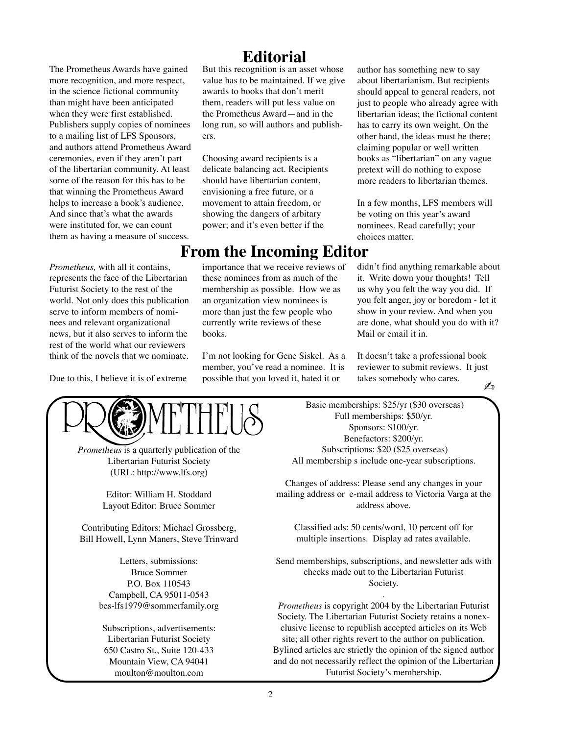The Prometheus Awards have gained more recognition, and more respect, in the science fictional community than might have been anticipated when they were first established. Publishers supply copies of nominees to a mailing list of LFS Sponsors, and authors attend Prometheus Award ceremonies, even if they aren't part of the libertarian community. At least some of the reason for this has to be that winning the Prometheus Award helps to increase a book's audience. And since that's what the awards were instituted for, we can count them as having a measure of success.

*Prometheus,* with all it contains, represents the face of the Libertarian Futurist Society to the rest of the world. Not only does this publication serve to inform members of nominees and relevant organizational news, but it also serves to inform the rest of the world what our reviewers think of the novels that we nominate.

Due to this, I believe it is of extreme

## **Editorial**

But this recognition is an asset whose value has to be maintained. If we give awards to books that don't merit them, readers will put less value on the Prometheus Award—and in the long run, so will authors and publishers.

Choosing award recipients is a delicate balancing act. Recipients should have libertarian content, envisioning a free future, or a movement to attain freedom, or showing the dangers of arbitary power; and it's even better if the

### **From the Incoming Editor**

importance that we receive reviews of these nominees from as much of the membership as possible. How we as an organization view nominees is more than just the few people who currently write reviews of these books.

I'm not looking for Gene Siskel. As a member, you've read a nominee. It is possible that you loved it, hated it or

author has something new to say about libertarianism. But recipients should appeal to general readers, not just to people who already agree with libertarian ideas; the fictional content has to carry its own weight. On the other hand, the ideas must be there; claiming popular or well written books as "libertarian" on any vague pretext will do nothing to expose more readers to libertarian themes.

In a few months, LFS members will be voting on this year's award nominees. Read carefully; your choices matter.

didn't find anything remarkable about it. Write down your thoughts! Tell us why you felt the way you did. If you felt anger, joy or boredom - let it show in your review. And when you are done, what should you do with it? Mail or email it in.

✍ It doesn't take a professional book reviewer to submit reviews. It just takes somebody who cares.



*Prometheus* is a quarterly publication of the Libertarian Futurist Society (URL: http://www.lfs.org)

> Editor: William H. Stoddard Layout Editor: Bruce Sommer

Contributing Editors: Michael Grossberg, Bill Howell, Lynn Maners, Steve Trinward

> Letters, submissions: Bruce Sommer P.O. Box 110543 Campbell, CA 95011-0543 bes-lfs1979@sommerfamily.org

Subscriptions, advertisements: Libertarian Futurist Society 650 Castro St., Suite 120-433 Mountain View, CA 94041 moulton@moulton.com

 Basic memberships: \$25/yr (\$30 overseas) Full memberships: \$50/yr. Sponsors: \$100/yr. Benefactors: \$200/yr. Subscriptions: \$20 (\$25 overseas) All membership s include one-year subscriptions.

Changes of address: Please send any changes in your mailing address or e-mail address to Victoria Varga at the address above.

Classified ads: 50 cents/word, 10 percent off for multiple insertions. Display ad rates available.

Send memberships, subscriptions, and newsletter ads with checks made out to the Libertarian Futurist Society.

. *Prometheus* is copyright 2004 by the Libertarian Futurist Society. The Libertarian Futurist Society retains a nonexclusive license to republish accepted articles on its Web site; all other rights revert to the author on publication. Bylined articles are strictly the opinion of the signed author and do not necessarily reflect the opinion of the Libertarian Futurist Society's membership.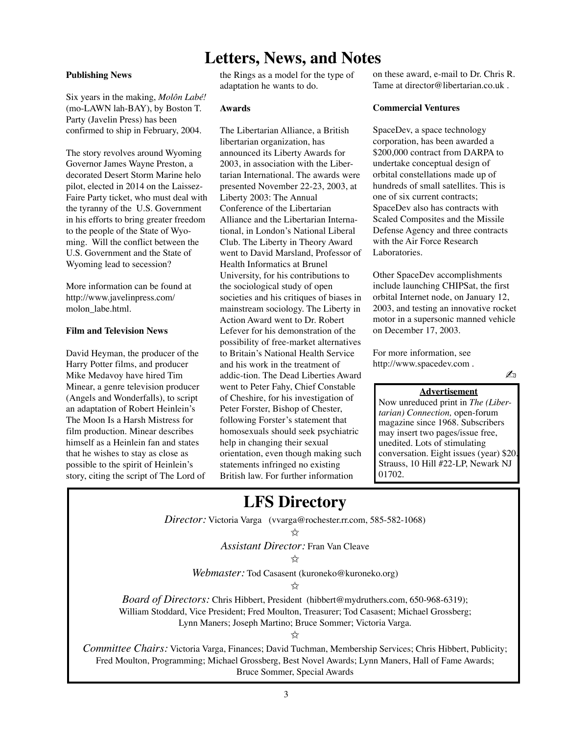### **Letters, News, and Notes**

#### **Publishing News**

Six years in the making, *Molôn Labé!* (mo-LAWN lah-BAY), by Boston T. Party (Javelin Press) has been confirmed to ship in February, 2004.

The story revolves around Wyoming Governor James Wayne Preston, a decorated Desert Storm Marine helo pilot, elected in 2014 on the Laissez-Faire Party ticket, who must deal with the tyranny of the U.S. Government in his efforts to bring greater freedom to the people of the State of Wyoming. Will the conflict between the U.S. Government and the State of Wyoming lead to secession?

More information can be found at http://www.javelinpress.com/ molon\_labe.html.

#### **Film and Television News**

David Heyman, the producer of the Harry Potter films, and producer Mike Medavoy have hired Tim Minear, a genre television producer (Angels and Wonderfalls), to script an adaptation of Robert Heinlein's The Moon Is a Harsh Mistress for film production. Minear describes himself as a Heinlein fan and states that he wishes to stay as close as possible to the spirit of Heinlein's story, citing the script of The Lord of the Rings as a model for the type of adaptation he wants to do.

#### **Awards**

The Libertarian Alliance, a British libertarian organization, has announced its Liberty Awards for 2003, in association with the Libertarian International. The awards were presented November 22-23, 2003, at Liberty 2003: The Annual Conference of the Libertarian Alliance and the Libertarian International, in London's National Liberal Club. The Liberty in Theory Award went to David Marsland, Professor of Health Informatics at Brunel University, for his contributions to the sociological study of open societies and his critiques of biases in mainstream sociology. The Liberty in Action Award went to Dr. Robert Lefever for his demonstration of the possibility of free-market alternatives to Britain's National Health Service and his work in the treatment of addic-tion. The Dead Liberties Award went to Peter Fahy, Chief Constable of Cheshire, for his investigation of Peter Forster, Bishop of Chester, following Forster's statement that homosexuals should seek psychiatric help in changing their sexual orientation, even though making such statements infringed no existing British law. For further information

on these award, e-mail to Dr. Chris R. Tame at director@libertarian.co.uk .

#### **Commercial Ventures**

SpaceDev, a space technology corporation, has been awarded a \$200,000 contract from DARPA to undertake conceptual design of orbital constellations made up of hundreds of small satellites. This is one of six current contracts; SpaceDev also has contracts with Scaled Composites and the Missile Defense Agency and three contracts with the Air Force Research Laboratories.

Other SpaceDev accomplishments include launching CHIPSat, the first orbital Internet node, on January 12, 2003, and testing an innovative rocket motor in a supersonic manned vehicle on December 17, 2003.

For more information, see http://www.spacedev.com .

✍

#### **Advertisement**

Now unreduced print in *The (Libertarian) Connection,* open-forum magazine since 1968. Subscribers may insert two pages/issue free, unedited. Lots of stimulating conversation. Eight issues (year) \$20. Strauss, 10 Hill #22-LP, Newark NJ 01702.

## **LFS Directory**

*Director:* Victoria Varga (vvarga@rochester.rr.com, 585-582-1068)

*Assistant Director:* Fran Van Cleave

✩

*Webmaster:* Tod Casasent (kuroneko@kuroneko.org)

✩

*Board of Directors:* Chris Hibbert, President (hibbert@mydruthers.com, 650-968-6319); William Stoddard, Vice President; Fred Moulton, Treasurer; Tod Casasent; Michael Grossberg; Lynn Maners; Joseph Martino; Bruce Sommer; Victoria Varga.

✩

*Committee Chairs:* Victoria Varga, Finances; David Tuchman, Membership Services; Chris Hibbert, Publicity; Fred Moulton, Programming; Michael Grossberg, Best Novel Awards; Lynn Maners, Hall of Fame Awards; Bruce Sommer, Special Awards

<sup>✩</sup>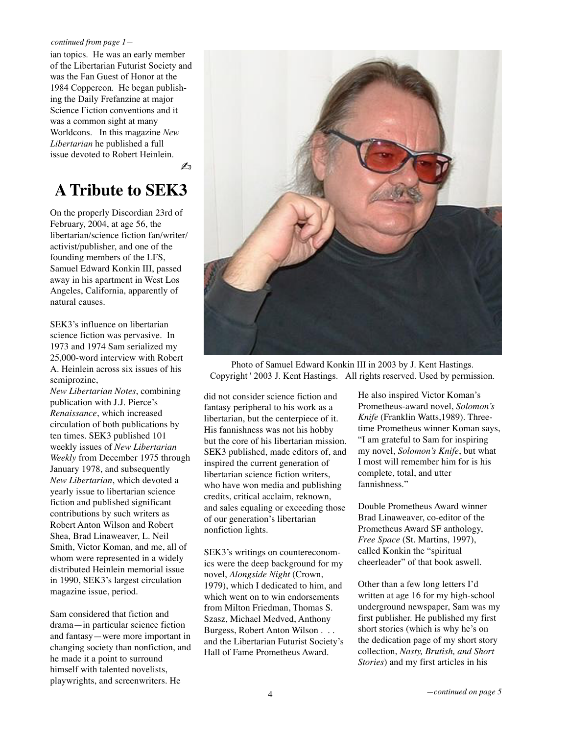#### *continued from page 1—*

ian topics. He was an early member of the Libertarian Futurist Society and was the Fan Guest of Honor at the 1984 Coppercon. He began publishing the Daily Frefanzine at major Science Fiction conventions and it was a common sight at many Worldcons. In this magazine *New Libertarian* he published a full issue devoted to Robert Heinlein.

✍

## **A Tribute to SEK3**

On the properly Discordian 23rd of February, 2004, at age 56, the libertarian/science fiction fan/writer/ activist/publisher, and one of the founding members of the LFS, Samuel Edward Konkin III, passed away in his apartment in West Los Angeles, California, apparently of natural causes.

SEK3's influence on libertarian science fiction was pervasive. In 1973 and 1974 Sam serialized my 25,000-word interview with Robert A. Heinlein across six issues of his semiprozine,

*New Libertarian Notes*, combining publication with J.J. Pierce's *Renaissance*, which increased circulation of both publications by ten times. SEK3 published 101 weekly issues of *New Libertarian Weekly* from December 1975 through January 1978, and subsequently *New Libertarian*, which devoted a yearly issue to libertarian science fiction and published significant contributions by such writers as Robert Anton Wilson and Robert Shea, Brad Linaweaver, L. Neil Smith, Victor Koman, and me, all of whom were represented in a widely distributed Heinlein memorial issue in 1990, SEK3's largest circulation magazine issue, period.

Sam considered that fiction and drama—in particular science fiction and fantasy—were more important in changing society than nonfiction, and he made it a point to surround himself with talented novelists, playwrights, and screenwriters. He



Photo of Samuel Edward Konkin III in 2003 by J. Kent Hastings. Copyright ' 2003 J. Kent Hastings. All rights reserved. Used by permission.

did not consider science fiction and fantasy peripheral to his work as a libertarian, but the centerpiece of it. His fannishness was not his hobby but the core of his libertarian mission. SEK3 published, made editors of, and inspired the current generation of libertarian science fiction writers, who have won media and publishing credits, critical acclaim, reknown, and sales equaling or exceeding those of our generation's libertarian nonfiction lights.

SEK3's writings on countereconomics were the deep background for my novel, *Alongside Night* (Crown, 1979), which I dedicated to him, and which went on to win endorsements from Milton Friedman, Thomas S. Szasz, Michael Medved, Anthony Burgess, Robert Anton Wilson . . . and the Libertarian Futurist Society's Hall of Fame Prometheus Award.

He also inspired Victor Koman's Prometheus-award novel, *Solomon's Knife* (Franklin Watts,1989). Threetime Prometheus winner Koman says, "I am grateful to Sam for inspiring my novel, *Solomon's Knife*, but what I most will remember him for is his complete, total, and utter fannishness."

Double Prometheus Award winner Brad Linaweaver, co-editor of the Prometheus Award SF anthology, *Free Space* (St. Martins, 1997), called Konkin the "spiritual cheerleader" of that book aswell.

Other than a few long letters I'd written at age 16 for my high-school underground newspaper, Sam was my first publisher. He published my first short stories (which is why he's on the dedication page of my short story collection, *Nasty, Brutish, and Short Stories*) and my first articles in his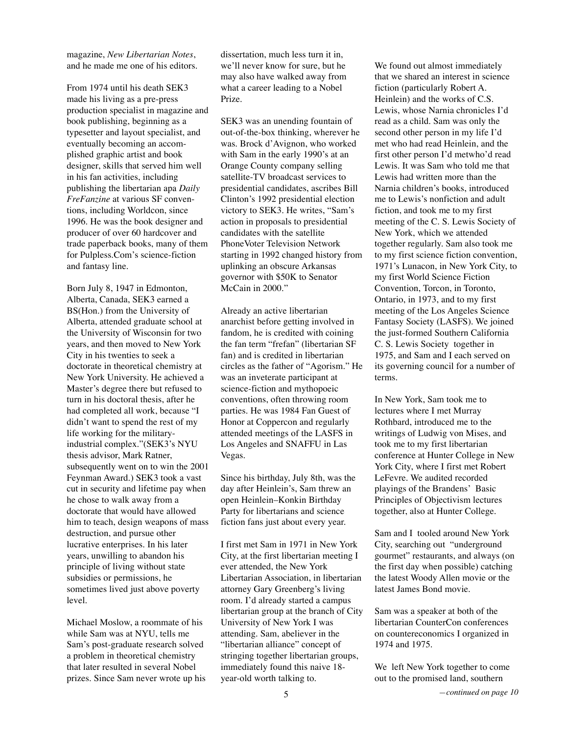magazine, *New Libertarian Notes*, and he made me one of his editors.

From 1974 until his death SEK3 made his living as a pre-press production specialist in magazine and book publishing, beginning as a typesetter and layout specialist, and eventually becoming an accomplished graphic artist and book designer, skills that served him well in his fan activities, including publishing the libertarian apa *Daily FreFanzine* at various SF conventions, including Worldcon, since 1996. He was the book designer and producer of over 60 hardcover and trade paperback books, many of them for Pulpless.Com's science-fiction and fantasy line.

Born July 8, 1947 in Edmonton, Alberta, Canada, SEK3 earned a BS(Hon.) from the University of Alberta, attended graduate school at the University of Wisconsin for two years, and then moved to New York City in his twenties to seek a doctorate in theoretical chemistry at New York University. He achieved a Master's degree there but refused to turn in his doctoral thesis, after he had completed all work, because "I didn't want to spend the rest of my life working for the militaryindustrial complex."(SEK3's NYU thesis advisor, Mark Ratner, subsequently went on to win the 2001 Feynman Award.) SEK3 took a vast cut in security and lifetime pay when he chose to walk away from a doctorate that would have allowed him to teach, design weapons of mass destruction, and pursue other lucrative enterprises. In his later years, unwilling to abandon his principle of living without state subsidies or permissions, he sometimes lived just above poverty level.

Michael Moslow, a roommate of his while Sam was at NYU, tells me Sam's post-graduate research solved a problem in theoretical chemistry that later resulted in several Nobel prizes. Since Sam never wrote up his

dissertation, much less turn it in, we'll never know for sure, but he may also have walked away from what a career leading to a Nobel Prize.

SEK3 was an unending fountain of out-of-the-box thinking, wherever he was. Brock d'Avignon, who worked with Sam in the early 1990's at an Orange County company selling satellite-TV broadcast services to presidential candidates, ascribes Bill Clinton's 1992 presidential election victory to SEK3. He writes, "Sam's action in proposals to presidential candidates with the satellite PhoneVoter Television Network starting in 1992 changed history from uplinking an obscure Arkansas governor with \$50K to Senator McCain in 2000."

Already an active libertarian anarchist before getting involved in fandom, he is credited with coining the fan term "frefan" (libertarian SF fan) and is credited in libertarian circles as the father of "Agorism." He was an inveterate participant at science-fiction and mythopoeic conventions, often throwing room parties. He was 1984 Fan Guest of Honor at Coppercon and regularly attended meetings of the LASFS in Los Angeles and SNAFFU in Las Vegas.

Since his birthday, July 8th, was the day after Heinlein's, Sam threw an open Heinlein–Konkin Birthday Party for libertarians and science fiction fans just about every year.

I first met Sam in 1971 in New York City, at the first libertarian meeting I ever attended, the New York Libertarian Association, in libertarian attorney Gary Greenberg's living room. I'd already started a campus libertarian group at the branch of City University of New York I was attending. Sam, abeliever in the "libertarian alliance" concept of stringing together libertarian groups, immediately found this naive 18 year-old worth talking to.

We found out almost immediately that we shared an interest in science fiction (particularly Robert A. Heinlein) and the works of C.S. Lewis, whose Narnia chronicles I'd read as a child. Sam was only the second other person in my life I'd met who had read Heinlein, and the first other person I'd metwho'd read Lewis. It was Sam who told me that Lewis had written more than the Narnia children's books, introduced me to Lewis's nonfiction and adult fiction, and took me to my first meeting of the C. S. Lewis Society of New York, which we attended together regularly. Sam also took me to my first science fiction convention, 1971's Lunacon, in New York City, to my first World Science Fiction Convention, Torcon, in Toronto, Ontario, in 1973, and to my first meeting of the Los Angeles Science Fantasy Society (LASFS). We joined the just-formed Southern California C. S. Lewis Society together in 1975, and Sam and I each served on its governing council for a number of terms.

In New York, Sam took me to lectures where I met Murray Rothbard, introduced me to the writings of Ludwig von Mises, and took me to my first libertarian conference at Hunter College in New York City, where I first met Robert LeFevre. We audited recorded playings of the Brandens' Basic Principles of Objectivism lectures together, also at Hunter College.

Sam and I tooled around New York City, searching out "underground gourmet" restaurants, and always (on the first day when possible) catching the latest Woody Allen movie or the latest James Bond movie.

Sam was a speaker at both of the libertarian CounterCon conferences on countereconomics I organized in 1974 and 1975.

We left New York together to come out to the promised land, southern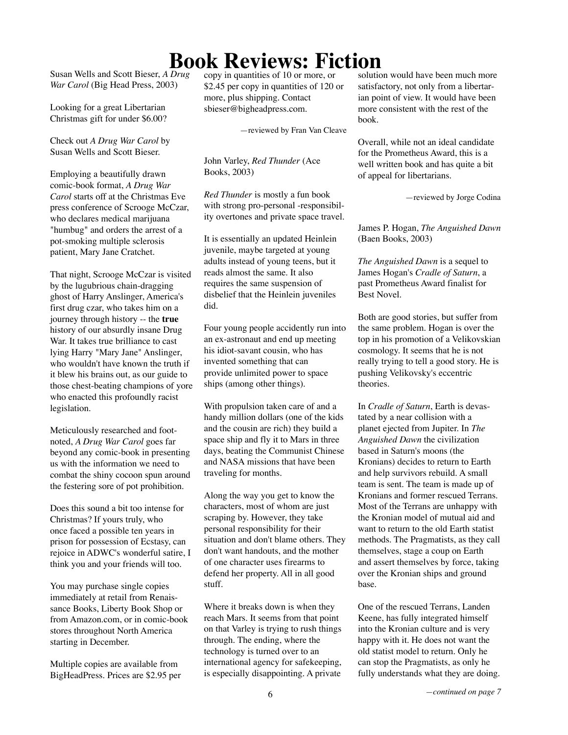# **Book Reviews: Fiction**

Susan Wells and Scott Bieser, *A Drug War Carol* (Big Head Press, 2003)

Looking for a great Libertarian Christmas gift for under \$6.00?

Check out *A Drug War Carol* by Susan Wells and Scott Bieser.

Employing a beautifully drawn comic-book format, *A Drug War Carol* starts off at the Christmas Eve press conference of Scrooge McCzar, who declares medical marijuana "humbug" and orders the arrest of a pot-smoking multiple sclerosis patient, Mary Jane Cratchet.

That night, Scrooge McCzar is visited by the lugubrious chain-dragging ghost of Harry Anslinger, America's first drug czar, who takes him on a journey through history -- the **true** history of our absurdly insane Drug War. It takes true brilliance to cast lying Harry "Mary Jane" Anslinger, who wouldn't have known the truth if it blew his brains out, as our guide to those chest-beating champions of yore who enacted this profoundly racist legislation.

Meticulously researched and footnoted, *A Drug War Carol* goes far beyond any comic-book in presenting us with the information we need to combat the shiny cocoon spun around the festering sore of pot prohibition.

Does this sound a bit too intense for Christmas? If yours truly, who once faced a possible ten years in prison for possession of Ecstasy, can rejoice in ADWC's wonderful satire, I think you and your friends will too.

You may purchase single copies immediately at retail from Renaissance Books, Liberty Book Shop or from Amazon.com, or in comic-book stores throughout North America starting in December.

Multiple copies are available from BigHeadPress. Prices are \$2.95 per copy in quantities of 10 or more, or \$2.45 per copy in quantities of 120 or more, plus shipping. Contact sbieser@bigheadpress.com.

—reviewed by Fran Van Cleave

John Varley, *Red Thunder* (Ace Books, 2003)

*Red Thunder* is mostly a fun book with strong pro-personal -responsibility overtones and private space travel.

It is essentially an updated Heinlein juvenile, maybe targeted at young adults instead of young teens, but it reads almost the same. It also requires the same suspension of disbelief that the Heinlein juveniles did.

Four young people accidently run into an ex-astronaut and end up meeting his idiot-savant cousin, who has invented something that can provide unlimited power to space ships (among other things).

With propulsion taken care of and a handy million dollars (one of the kids and the cousin are rich) they build a space ship and fly it to Mars in three days, beating the Communist Chinese and NASA missions that have been traveling for months.

Along the way you get to know the characters, most of whom are just scraping by. However, they take personal responsibility for their situation and don't blame others. They don't want handouts, and the mother of one character uses firearms to defend her property. All in all good stuff.

Where it breaks down is when they reach Mars. It seems from that point on that Varley is trying to rush things through. The ending, where the technology is turned over to an international agency for safekeeping, is especially disappointing. A private

solution would have been much more satisfactory, not only from a libertarian point of view. It would have been more consistent with the rest of the book.

Overall, while not an ideal candidate for the Prometheus Award, this is a well written book and has quite a bit of appeal for libertarians.

—reviewed by Jorge Codina

James P. Hogan, *The Anguished Dawn* (Baen Books, 2003)

*The Anguished Dawn* is a sequel to James Hogan's *Cradle of Saturn*, a past Prometheus Award finalist for Best Novel.

Both are good stories, but suffer from the same problem. Hogan is over the top in his promotion of a Velikovskian cosmology. It seems that he is not really trying to tell a good story. He is pushing Velikovsky's eccentric theories.

In *Cradle of Saturn*, Earth is devastated by a near collision with a planet ejected from Jupiter. In *The Anguished Dawn* the civilization based in Saturn's moons (the Kronians) decides to return to Earth and help survivors rebuild. A small team is sent. The team is made up of Kronians and former rescued Terrans. Most of the Terrans are unhappy with the Kronian model of mutual aid and want to return to the old Earth statist methods. The Pragmatists, as they call themselves, stage a coup on Earth and assert themselves by force, taking over the Kronian ships and ground base.

One of the rescued Terrans, Landen Keene, has fully integrated himself into the Kronian culture and is very happy with it. He does not want the old statist model to return. Only he can stop the Pragmatists, as only he fully understands what they are doing.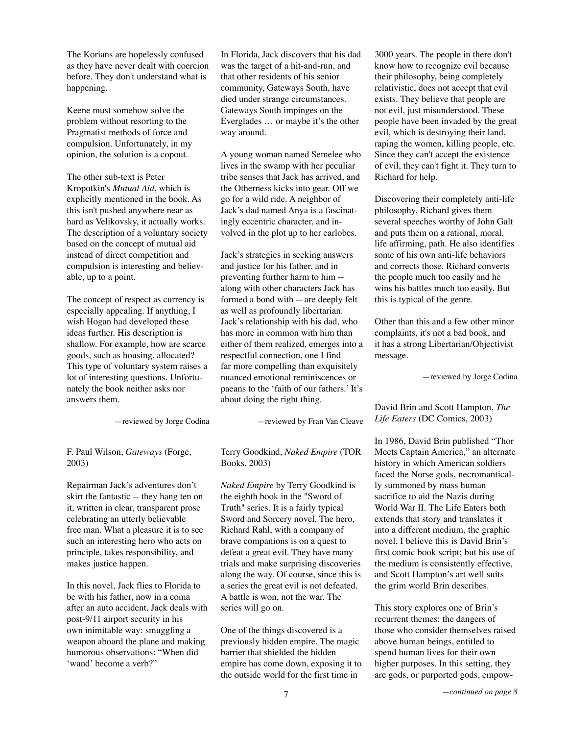The Korians are hopelessly confused as they have never dealt with coercion before. They don't understand what is happening.

Keene must somehow solve the problem without resorting to the Pragmatist methods of force and compulsion. Unfortunately, in my opinion, the solution is a copout.

The other sub-text is Peter Kropotkin's *Mutual Aid*, which is explicitly mentioned in the book. As this isn't pushed anywhere near as hard as Velikovsky, it actually works. The description of a voluntary society based on the concept of mutual aid instead of direct competition and compulsion is interesting and believable, up to a point.

The concept of respect as currency is especially appealing. If anything, I wish Hogan had developed these ideas further. His description is shallow. For example, how are scarce goods, such as housing, allocated? This type of voluntary system raises a lot of interesting questions. Unfortunately the book neither asks nor answers them.

—reviewed by Jorge Codina

F. Paul Wilson, *Gateways* (Forge, 2003)

Repairman Jack's adventures don't skirt the fantastic -- they hang ten on it, written in clear, transparent prose celebrating an utterly believable free man. What a pleasure it is to see such an interesting hero who acts on principle, takes responsibility, and makes justice happen.

In this novel, Jack flies to Florida to be with his father, now in a coma after an auto accident. Jack deals with post-9/11 airport security in his own inimitable way: smuggling a weapon aboard the plane and making humorous observations: "When did 'wand' become a verb?"

In Florida, Jack discovers that his dad was the target of a hit-and-run, and that other residents of his senior community, Gateways South, have died under strange circumstances. Gateways South impinges on the Everglades … or maybe it's the other way around.

A young woman named Semelee who lives in the swamp with her peculiar tribe senses that Jack has arrived, and the Otherness kicks into gear. Off we go for a wild ride. A neighbor of Jack's dad named Anya is a fascinatingly eccentric character, and involved in the plot up to her earlobes.

Jack's strategies in seeking answers and justice for his father, and in preventing further harm to him - along with other characters Jack has formed a bond with -- are deeply felt as well as profoundly libertarian. Jack's relationship with his dad, who has more in common with him than either of them realized, emerges into a respectful connection, one I find far more compelling than exquisitely nuanced emotional reminiscences or paeans to the 'faith of our fathers.' It's about doing the right thing.

—reviewed by Fran Van Cleave

Terry Goodkind, *Naked Empire* (TOR Books, 2003)

*Naked Empire* by Terry Goodkind is the eighth book in the "Sword of Truth" series. It is a fairly typical Sword and Sorcery novel. The hero, Richard Rahl, with a company of brave companions is on a quest to defeat a great evil. They have many trials and make surprising discoveries along the way. Of course, since this is a series the great evil is not defeated. A battle is won, not the war. The series will go on.

One of the things discovered is a previously hidden empire. The magic barrier that shielded the hidden empire has come down, exposing it to the outside world for the first time in

3000 years. The people in there don't know how to recognize evil because their philosophy, being completely relativistic, does not accept that evil exists. They believe that people are not evil, just misunderstood. These people have been invaded by the great evil, which is destroying their land, raping the women, killing people, etc. Since they can't accept the existence of evil, they can't fight it. They turn to Richard for help.

Discovering their completely anti-life philosophy, Richard gives them several speeches worthy of John Galt and puts them on a rational, moral, life affirming, path. He also identifies some of his own anti-life behaviors and corrects those. Richard converts the people much too easily and he wins his battles much too easily. But this is typical of the genre.

Other than this and a few other minor complaints, it's not a bad book, and it has a strong Libertarian/Objectivist message.

—reviewed by Jorge Codina

David Brin and Scott Hampton, *The Life Eaters* (DC Comics, 2003)

In 1986, David Brin published "Thor Meets Captain America," an alternate history in which American soldiers faced the Norse gods, necromantically summoned by mass human sacrifice to aid the Nazis during World War II. The Life Eaters both extends that story and translates it into a different medium, the graphic novel. I believe this is David Brin's first comic book script; but his use of the medium is consistently effective, and Scott Hampton's art well suits the grim world Brin describes.

This story explores one of Brin's recurrent themes: the dangers of those who consider themselves raised above human beings, entitled to spend human lives for their own higher purposes. In this setting, they are gods, or purported gods, empow-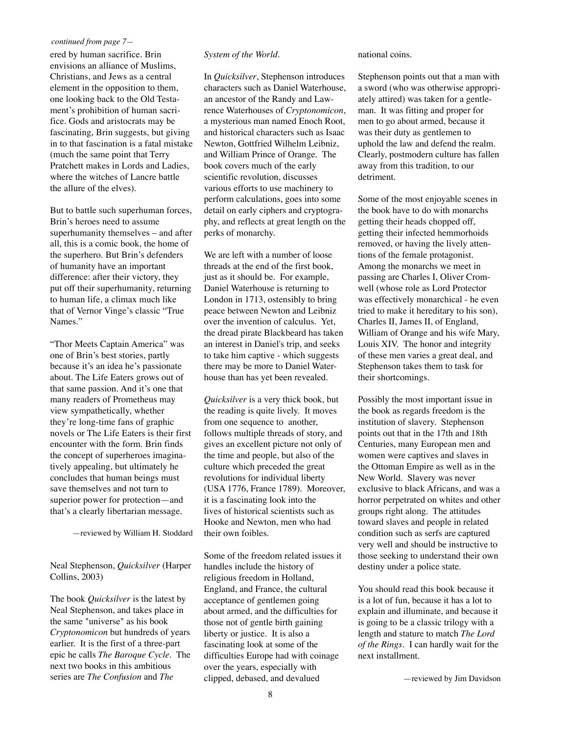#### *continued from page 7—*

ered by human sacrifice. Brin envisions an alliance of Muslims, Christians, and Jews as a central element in the opposition to them, one looking back to the Old Testament's prohibition of human sacrifice. Gods and aristocrats may be fascinating, Brin suggests, but giving in to that fascination is a fatal mistake (much the same point that Terry Pratchett makes in Lords and Ladies, where the witches of Lancre battle the allure of the elves).

But to battle such superhuman forces, Brin's heroes need to assume superhumanity themselves – and after all, this is a comic book, the home of the superhero. But Brin's defenders of humanity have an important difference: after their victory, they put off their superhumanity, returning to human life, a climax much like that of Vernor Vinge's classic "True Names."

"Thor Meets Captain America" was one of Brin's best stories, partly because it's an idea he's passionate about. The Life Eaters grows out of that same passion. And it's one that many readers of Prometheus may view sympathetically, whether they're long-time fans of graphic novels or The Life Eaters is their first encounter with the form. Brin finds the concept of superheroes imaginatively appealing, but ultimately he concludes that human beings must save themselves and not turn to superior power for protection—and that's a clearly libertarian message.

—reviewed by William H. Stoddard

Neal Stephenson, *Quicksilver* (Harper Collins, 2003)

The book *Quicksilver* is the latest by Neal Stephenson, and takes place in the same "universe" as his book *Cryptonomicon* but hundreds of years earlier. It is the first of a three-part epic he calls *The Baroque Cycle*. The next two books in this ambitious series are *The Confusion* and *The*

#### *System of the World*.

In *Quicksilver*, Stephenson introduces characters such as Daniel Waterhouse, an ancestor of the Randy and Lawrence Waterhouses of *Cryptonomicon*, a mysterious man named Enoch Root, and historical characters such as Isaac Newton, Gottfried Wilhelm Leibniz, and William Prince of Orange. The book covers much of the early scientific revolution, discusses various efforts to use machinery to perform calculations, goes into some detail on early ciphers and cryptography, and reflects at great length on the perks of monarchy.

We are left with a number of loose threads at the end of the first book, just as it should be. For example, Daniel Waterhouse is returning to London in 1713, ostensibly to bring peace between Newton and Leibniz over the invention of calculus. Yet, the dread pirate Blackbeard has taken an interest in Daniel's trip, and seeks to take him captive - which suggests there may be more to Daniel Waterhouse than has yet been revealed.

*Quicksilver* is a very thick book, but the reading is quite lively. It moves from one sequence to another, follows multiple threads of story, and gives an excellent picture not only of the time and people, but also of the culture which preceded the great revolutions for individual liberty (USA 1776, France 1789). Moreover, it is a fascinating look into the lives of historical scientists such as Hooke and Newton, men who had their own foibles.

Some of the freedom related issues it handles include the history of religious freedom in Holland, England, and France, the cultural acceptance of gentlemen going about armed, and the difficulties for those not of gentle birth gaining liberty or justice. It is also a fascinating look at some of the difficulties Europe had with coinage over the years, especially with clipped, debased, and devalued

national coins.

Stephenson points out that a man with a sword (who was otherwise appropriately attired) was taken for a gentleman. It was fitting and proper for men to go about armed, because it was their duty as gentlemen to uphold the law and defend the realm. Clearly, postmodern culture has fallen away from this tradition, to our detriment.

Some of the most enjoyable scenes in the book have to do with monarchs getting their heads chopped off, getting their infected hemmorhoids removed, or having the lively attentions of the female protagonist. Among the monarchs we meet in passing are Charles I, Oliver Cromwell (whose role as Lord Protector was effectively monarchical - he even tried to make it hereditary to his son), Charles II, James II, of England, William of Orange and his wife Mary, Louis XIV. The honor and integrity of these men varies a great deal, and Stephenson takes them to task for their shortcomings.

Possibly the most important issue in the book as regards freedom is the institution of slavery. Stephenson points out that in the 17th and 18th Centuries, many European men and women were captives and slaves in the Ottoman Empire as well as in the New World. Slavery was never exclusive to black Africans, and was a horror perpetrated on whites and other groups right along. The attitudes toward slaves and people in related condition such as serfs are captured very well and should be instructive to those seeking to understand their own destiny under a police state.

You should read this book because it is a lot of fun, because it has a lot to explain and illuminate, and because it is going to be a classic trilogy with a length and stature to match *The Lord of the Rings*. I can hardly wait for the next installment.

—reviewed by Jim Davidson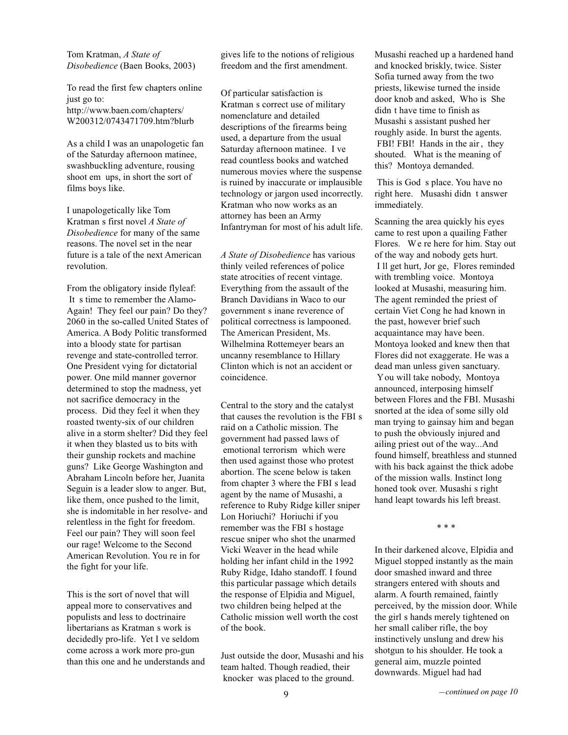Tom Kratman, *A State of Disobedience* (Baen Books, 2003)

To read the first few chapters online just go to: http://www.baen.com/chapters/ W200312/0743471709.htm?blurb

As a child I was an unapologetic fan of the Saturday afternoon matinee, swashbuckling adventure, rousing shoot em ups, in short the sort of films boys like.

I unapologetically like Tom Kratman s first novel *A State of Disobedience* for many of the same reasons. The novel set in the near future is a tale of the next American revolution.

From the obligatory inside flyleaf: It s time to remember the Alamo-Again! They feel our pain? Do they? 2060 in the so-called United States of America. A Body Politic transformed into a bloody state for partisan revenge and state-controlled terror. One President vying for dictatorial power. One mild manner governor determined to stop the madness, yet not sacrifice democracy in the process. Did they feel it when they roasted twenty-six of our children alive in a storm shelter? Did they feel it when they blasted us to bits with their gunship rockets and machine guns? Like George Washington and Abraham Lincoln before her, Juanita Seguin is a leader slow to anger. But, like them, once pushed to the limit, she is indomitable in her resolve- and relentless in the fight for freedom. Feel our pain? They will soon feel our rage! Welcome to the Second American Revolution. You re in for the fight for your life.

This is the sort of novel that will appeal more to conservatives and populists and less to doctrinaire libertarians as Kratman s work is decidedly pro-life. Yet I ve seldom come across a work more pro-gun than this one and he understands and gives life to the notions of religious freedom and the first amendment.

Of particular satisfaction is Kratman s correct use of military nomenclature and detailed descriptions of the firearms being used, a departure from the usual Saturday afternoon matinee. I ve read countless books and watched numerous movies where the suspense is ruined by inaccurate or implausible technology or jargon used incorrectly. Kratman who now works as an attorney has been an Army Infantryman for most of his adult life.

*A State of Disobedience* has various thinly veiled references of police state atrocities of recent vintage. Everything from the assault of the Branch Davidians in Waco to our government s inane reverence of political correctness is lampooned. The American President, Ms. Wilhelmina Rottemeyer bears an uncanny resemblance to Hillary Clinton which is not an accident or coincidence.

Central to the story and the catalyst that causes the revolution is the FBI s raid on a Catholic mission. The government had passed laws of emotional terrorism which were then used against those who protest abortion. The scene below is taken from chapter 3 where the FBI s lead agent by the name of Musashi, a reference to Ruby Ridge killer sniper Lon Horiuchi? Horiuchi if you remember was the FBI s hostage rescue sniper who shot the unarmed Vicki Weaver in the head while holding her infant child in the 1992 Ruby Ridge, Idaho standoff. I found this particular passage which details the response of Elpidia and Miguel, two children being helped at the Catholic mission well worth the cost of the book.

Just outside the door, Musashi and his team halted. Though readied, their knocker was placed to the ground.

Musashi reached up a hardened hand and knocked briskly, twice. Sister Sofia turned away from the two priests, likewise turned the inside door knob and asked, Who is She didn t have time to finish as Musashi s assistant pushed her roughly aside. In burst the agents. FBI! FBI! Hands in the air, they shouted. What is the meaning of this? Montoya demanded.

This is God s place. You have no right here. Musashi didn t answer immediately.

Scanning the area quickly his eyes came to rest upon a quailing Father Flores. We re here for him. Stay out of the way and nobody gets hurt. I ll get hurt, Jor ge, Flores reminded with trembling voice. Montoya looked at Musashi, measuring him. The agent reminded the priest of certain Viet Cong he had known in the past, however brief such acquaintance may have been. Montoya looked and knew then that Flores did not exaggerate. He was a dead man unless given sanctuary. You will take nobody, Montoya announced, interposing himself between Flores and the FBI. Musashi snorted at the idea of some silly old man trying to gainsay him and began to push the obviously injured and ailing priest out of the way...And found himself, breathless and stunned with his back against the thick adobe of the mission walls. Instinct long honed took over. Musashi s right hand leapt towards his left breast.

\* \* \*

In their darkened alcove, Elpidia and Miguel stopped instantly as the main door smashed inward and three strangers entered with shouts and alarm. A fourth remained, faintly perceived, by the mission door. While the girl s hands merely tightened on her small caliber rifle, the boy instinctively unslung and drew his shotgun to his shoulder. He took a general aim, muzzle pointed downwards. Miguel had had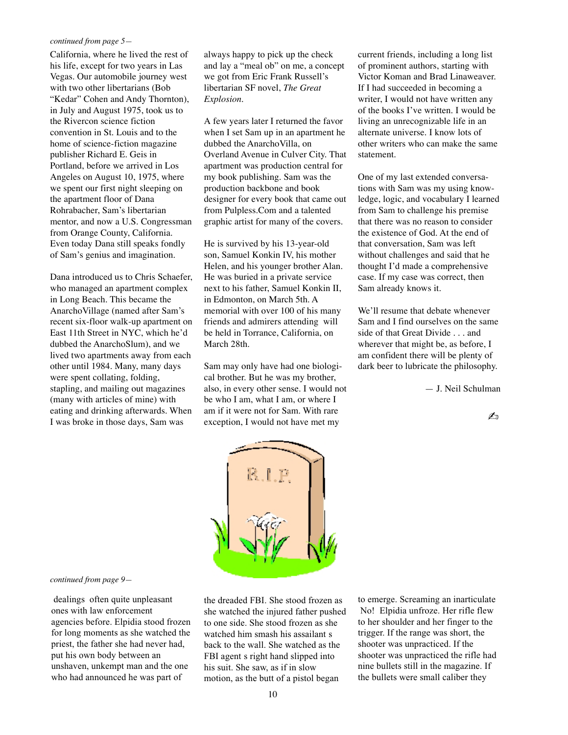#### *continued from page 5—*

California, where he lived the rest of his life, except for two years in Las Vegas. Our automobile journey west with two other libertarians (Bob "Kedar" Cohen and Andy Thornton), in July and August 1975, took us to the Rivercon science fiction convention in St. Louis and to the home of science-fiction magazine publisher Richard E. Geis in Portland, before we arrived in Los Angeles on August 10, 1975, where we spent our first night sleeping on the apartment floor of Dana Rohrabacher, Sam's libertarian mentor, and now a U.S. Congressman from Orange County, California. Even today Dana still speaks fondly of Sam's genius and imagination.

Dana introduced us to Chris Schaefer, who managed an apartment complex in Long Beach. This became the AnarchoVillage (named after Sam's recent six-floor walk-up apartment on East 11th Street in NYC, which he'd dubbed the AnarchoSlum), and we lived two apartments away from each other until 1984. Many, many days were spent collating, folding, stapling, and mailing out magazines (many with articles of mine) with eating and drinking afterwards. When I was broke in those days, Sam was

always happy to pick up the check and lay a "meal ob" on me, a concept we got from Eric Frank Russell's libertarian SF novel, *The Great Explosion*.

A few years later I returned the favor when I set Sam up in an apartment he dubbed the AnarchoVilla, on Overland Avenue in Culver City. That apartment was production central for my book publishing. Sam was the production backbone and book designer for every book that came out from Pulpless.Com and a talented graphic artist for many of the covers.

He is survived by his 13-year-old son, Samuel Konkin IV, his mother Helen, and his younger brother Alan. He was buried in a private service next to his father, Samuel Konkin II, in Edmonton, on March 5th. A memorial with over 100 of his many friends and admirers attending will be held in Torrance, California, on March 28th.

Sam may only have had one biological brother. But he was my brother, also, in every other sense. I would not be who I am, what I am, or where I am if it were not for Sam. With rare exception, I would not have met my

current friends, including a long list of prominent authors, starting with Victor Koman and Brad Linaweaver. If I had succeeded in becoming a writer, I would not have written any of the books I've written. I would be living an unrecognizable life in an alternate universe. I know lots of other writers who can make the same statement.

One of my last extended conversations with Sam was my using knowledge, logic, and vocabulary I learned from Sam to challenge his premise that there was no reason to consider the existence of God. At the end of that conversation, Sam was left without challenges and said that he thought I'd made a comprehensive case. If my case was correct, then Sam already knows it.

We'll resume that debate whenever Sam and I find ourselves on the same side of that Great Divide . . . and wherever that might be, as before, I am confident there will be plenty of dark beer to lubricate the philosophy.

— J. Neil Schulman

✍



#### *continued from page 9—*

dealings often quite unpleasant ones with law enforcement agencies before. Elpidia stood frozen for long moments as she watched the priest, the father she had never had, put his own body between an unshaven, unkempt man and the one who had announced he was part of

the dreaded FBI. She stood frozen as she watched the injured father pushed to one side. She stood frozen as she watched him smash his assailant s back to the wall. She watched as the FBI agent s right hand slipped into his suit. She saw, as if in slow motion, as the butt of a pistol began

to emerge. Screaming an inarticulate No! Elpidia unfroze. Her rifle flew to her shoulder and her finger to the trigger. If the range was short, the shooter was unpracticed. If the shooter was unpracticed the rifle had nine bullets still in the magazine. If the bullets were small caliber they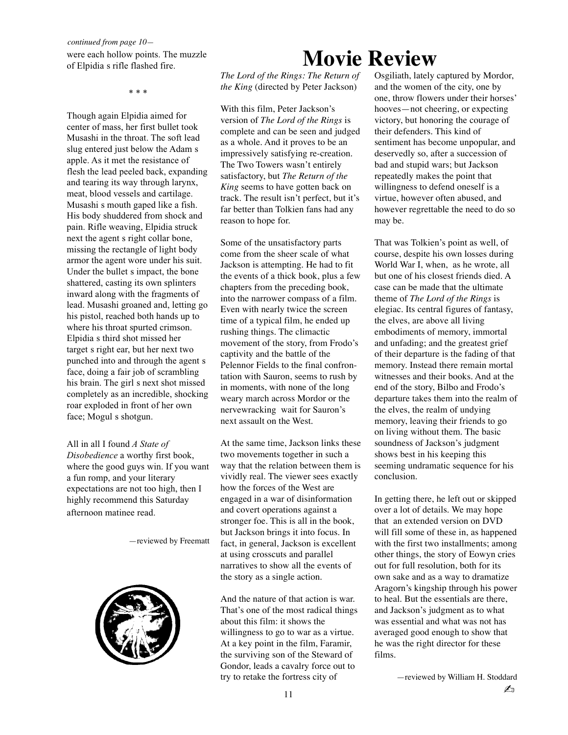were each hollow points. The muzzle of Elpidia s rifle flashed fire.

\* \* \*

Though again Elpidia aimed for center of mass, her first bullet took Musashi in the throat. The soft lead slug entered just below the Adam s apple. As it met the resistance of flesh the lead peeled back, expanding and tearing its way through larynx, meat, blood vessels and cartilage. Musashi s mouth gaped like a fish. His body shuddered from shock and pain. Rifle weaving, Elpidia struck next the agent s right collar bone, missing the rectangle of light body armor the agent wore under his suit. Under the bullet s impact, the bone shattered, casting its own splinters inward along with the fragments of lead. Musashi groaned and, letting go his pistol, reached both hands up to where his throat spurted crimson. Elpidia s third shot missed her target s right ear, but her next two punched into and through the agent s face, doing a fair job of scrambling his brain. The girl s next shot missed completely as an incredible, shocking roar exploded in front of her own face; Mogul s shotgun.

All in all I found *A State of Disobedience* a worthy first book, where the good guys win. If you want a fun romp, and your literary expectations are not too high, then I highly recommend this Saturday afternoon matinee read.

—reviewed by Freematt



# **Movie Review**

*The Lord of the Rings: The Return of the King* (directed by Peter Jackson)

With this film, Peter Jackson's version of *The Lord of the Rings* is complete and can be seen and judged as a whole. And it proves to be an impressively satisfying re-creation. The Two Towers wasn't entirely satisfactory, but *The Return of the King* seems to have gotten back on track. The result isn't perfect, but it's far better than Tolkien fans had any reason to hope for.

Some of the unsatisfactory parts come from the sheer scale of what Jackson is attempting. He had to fit the events of a thick book, plus a few chapters from the preceding book, into the narrower compass of a film. Even with nearly twice the screen time of a typical film, he ended up rushing things. The climactic movement of the story, from Frodo's captivity and the battle of the Pelennor Fields to the final confrontation with Sauron, seems to rush by in moments, with none of the long weary march across Mordor or the nervewracking wait for Sauron's next assault on the West.

At the same time, Jackson links these two movements together in such a way that the relation between them is vividly real. The viewer sees exactly how the forces of the West are engaged in a war of disinformation and covert operations against a stronger foe. This is all in the book, but Jackson brings it into focus. In fact, in general, Jackson is excellent at using crosscuts and parallel narratives to show all the events of the story as a single action.

And the nature of that action is war. That's one of the most radical things about this film: it shows the willingness to go to war as a virtue. At a key point in the film, Faramir, the surviving son of the Steward of Gondor, leads a cavalry force out to try to retake the fortress city of

Osgiliath, lately captured by Mordor, and the women of the city, one by one, throw flowers under their horses' hooves—not cheering, or expecting victory, but honoring the courage of their defenders. This kind of sentiment has become unpopular, and deservedly so, after a succession of bad and stupid wars; but Jackson repeatedly makes the point that willingness to defend oneself is a virtue, however often abused, and however regrettable the need to do so may be.

That was Tolkien's point as well, of course, despite his own losses during World War I, when, as he wrote, all but one of his closest friends died. A case can be made that the ultimate theme of *The Lord of the Rings* is elegiac. Its central figures of fantasy, the elves, are above all living embodiments of memory, immortal and unfading; and the greatest grief of their departure is the fading of that memory. Instead there remain mortal witnesses and their books. And at the end of the story, Bilbo and Frodo's departure takes them into the realm of the elves, the realm of undying memory, leaving their friends to go on living without them. The basic soundness of Jackson's judgment shows best in his keeping this seeming undramatic sequence for his conclusion.

In getting there, he left out or skipped over a lot of details. We may hope that an extended version on DVD will fill some of these in, as happened with the first two installments; among other things, the story of Eowyn cries out for full resolution, both for its own sake and as a way to dramatize Aragorn's kingship through his power to heal. But the essentials are there, and Jackson's judgment as to what was essential and what was not has averaged good enough to show that he was the right director for these films.

11  $\mathbb{Z}_0$ —reviewed by William H. Stoddard